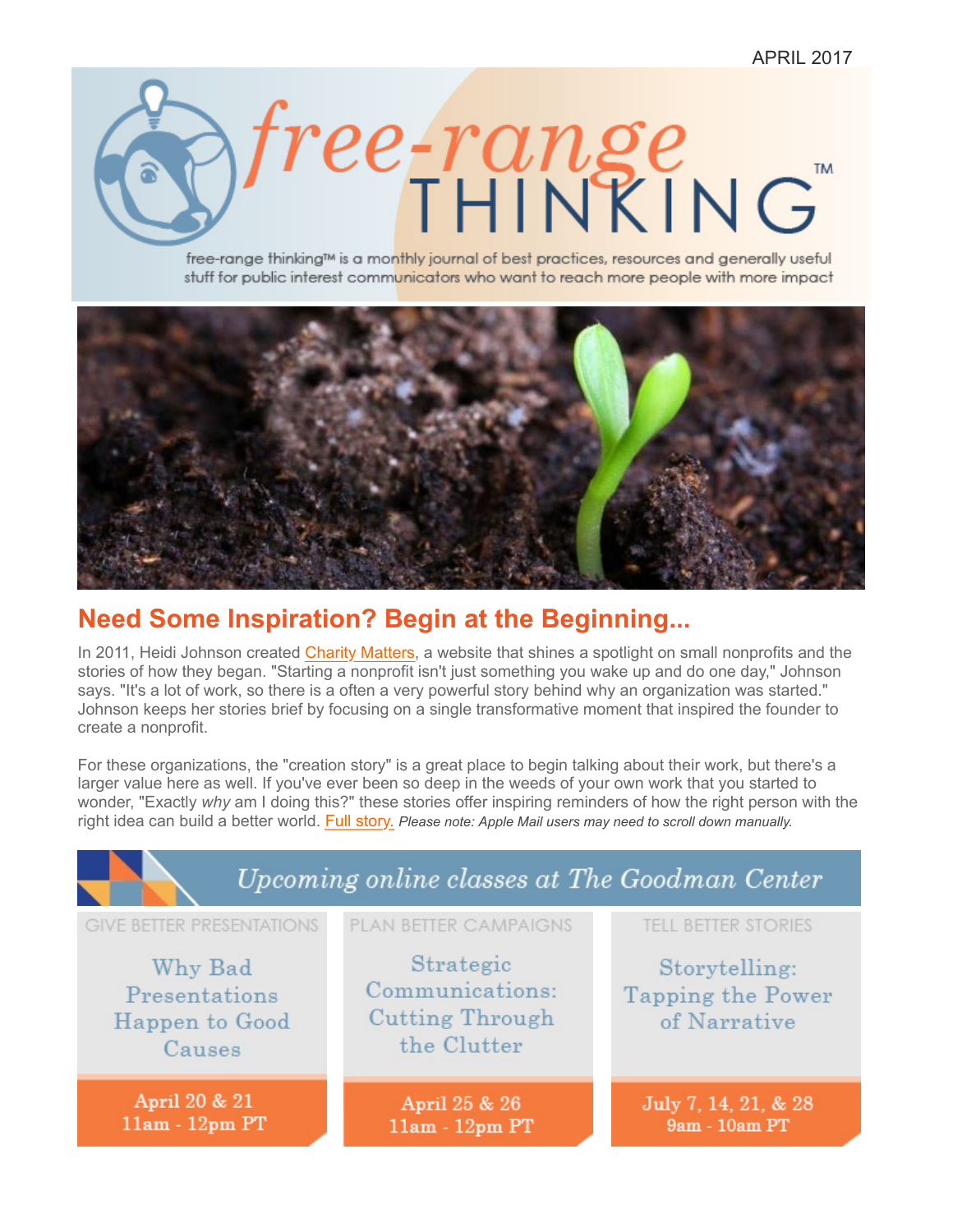<span id="page-0-0"></span>

free-range thinking™ is a monthly journal of best practices, resources and generally useful stuff for public interest communicators who want to reach more people with more impact



## **Need Some Inspiration? Begin at the Beginning...**

In 2011, Heidi Johnson created [Charity Matters,](http://charity-matters.com/) a website that shines a spotlight on small nonprofits and the stories of how they began. "Starting a nonprofit isn't just something you wake up and do one day," Johnson says. "It's a lot of work, so there is a often a very powerful story behind why an organization was started." Johnson keeps her stories brief by focusing on a single transformative moment that inspired the founder to create a nonprofit.

For these organizations, the "creation story" is a great place to begin talking about their work, but there's a larger value here as well. If you've ever been so deep in the weeds of your own work that you started to wonder, "Exactly *why* am I doing this?" these stories offer inspiring reminders of how the right person with the right idea can build a better world. [Full story.](#page-1-0) *Please note: Apple Mail users may need to scroll down manually.*

| Upcoming online classes at The Goodman Center                                            |                                                                                                |                                                                                  |
|------------------------------------------------------------------------------------------|------------------------------------------------------------------------------------------------|----------------------------------------------------------------------------------|
| <b>GIVE BETTER PRESENTATIONS</b><br>Why Bad<br>Presentations<br>Happen to Good<br>Causes | <b>PLAN BETTER CAMPAIGNS</b><br>Strategic<br>Communications:<br>Cutting Through<br>the Clutter | <b>TELL BETTER STORIES</b><br>Storytelling:<br>Tapping the Power<br>of Narrative |
| April 20 & 21<br>$11am - 12pm$ PT                                                        | April 25 & 26<br>11am - 12pm PT                                                                | July 7, 14, 21, & 28<br>9am - 10am PT                                            |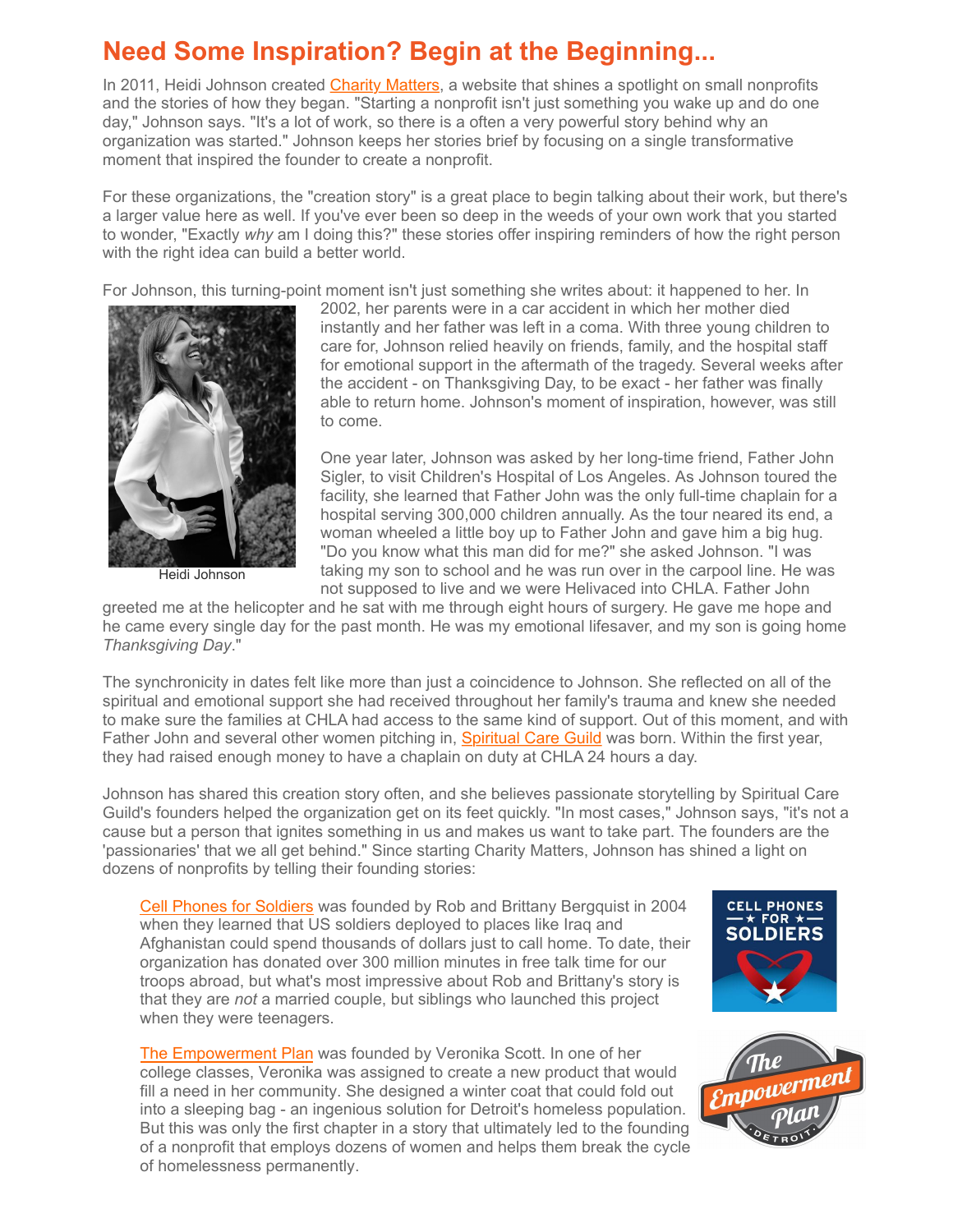## <span id="page-1-0"></span>**Need Some Inspiration? Begin at the Beginning...**

In 2011, Heidi Johnson created [Charity Matters,](http://charity-matters.com/) a website that shines a spotlight on small nonprofits and the stories of how they began. "Starting a nonprofit isn't just something you wake up and do one day," Johnson says. "It's a lot of work, so there is a often a very powerful story behind why an organization was started." Johnson keeps her stories brief by focusing on a single transformative moment that inspired the founder to create a nonprofit.

For these organizations, the "creation story" is a great place to begin talking about their work, but there's a larger value here as well. If you've ever been so deep in the weeds of your own work that you started to wonder, "Exactly *why* am I doing this?" these stories offer inspiring reminders of how the right person with the right idea can build a better world.

For Johnson, this turning-point moment isn't just something she writes about: it happened to her. In



Heidi Johnson

2002, her parents were in a car accident in which her mother died instantly and her father was left in a coma. With three young children to care for, Johnson relied heavily on friends, family, and the hospital staff for emotional support in the aftermath of the tragedy. Several weeks after the accident - on Thanksgiving Day, to be exact - her father was finally able to return home. Johnson's moment of inspiration, however, was still to come.

One year later, Johnson was asked by her long-time friend, Father John Sigler, to visit Children's Hospital of Los Angeles. As Johnson toured the facility, she learned that Father John was the only full-time chaplain for a hospital serving 300,000 children annually. As the tour neared its end, a woman wheeled a little boy up to Father John and gave him a big hug. "Do you know what this man did for me?" she asked Johnson. "I was taking my son to school and he was run over in the carpool line. He was not supposed to live and we were Helivaced into CHLA. Father John

greeted me at the helicopter and he sat with me through eight hours of surgery. He gave me hope and he came every single day for the past month. He was my emotional lifesaver, and my son is going home *Thanksgiving Day*."

The synchronicity in dates felt like more than just a coincidence to Johnson. She reflected on all of the spiritual and emotional support she had received throughout her family's trauma and knew she needed to make sure the families at CHLA had access to the same kind of support. Out of this moment, and with Father John and several other women pitching in, **Spiritual Care Guild** was born. Within the first year, they had raised enough money to have a chaplain on duty at CHLA 24 hours a day.

Johnson has shared this creation story often, and she believes passionate storytelling by Spiritual Care Guild's founders helped the organization get on its feet quickly. "In most cases," Johnson says, "it's not a cause but a person that ignites something in us and makes us want to take part. The founders are the 'passionaries' that we all get behind." Since starting Charity Matters, Johnson has shined a light on dozens of nonprofits by telling their founding stories:

[Cell Phones for Soldiers](http://charity-matters.com/2017/04/05/cell-phones-for-soldiers/#.WOvDery0mIe) was founded by Rob and Brittany Bergquist in 2004 when they learned that US soldiers deployed to places like Iraq and Afghanistan could spend thousands of dollars just to call home. To date, their organization has donated over 300 million minutes in free talk time for our troops abroad, but what's most impressive about Rob and Brittany's story is that they are *not* a married couple, but siblings who launched this project when they were teenagers.

[The Empowerment Plan](http://www.empowermentplan.org) was founded by Veronika Scott. In one of her college classes, Veronika was assigned to create a new product that would fill a need in her community. She designed a winter coat that could fold out into a sleeping bag - an ingenious solution for Detroit's homeless population. But this was only the first chapter in a story that ultimately led to the founding of a nonprofit that employs dozens of women and helps them break the cycle of homelessness permanently.